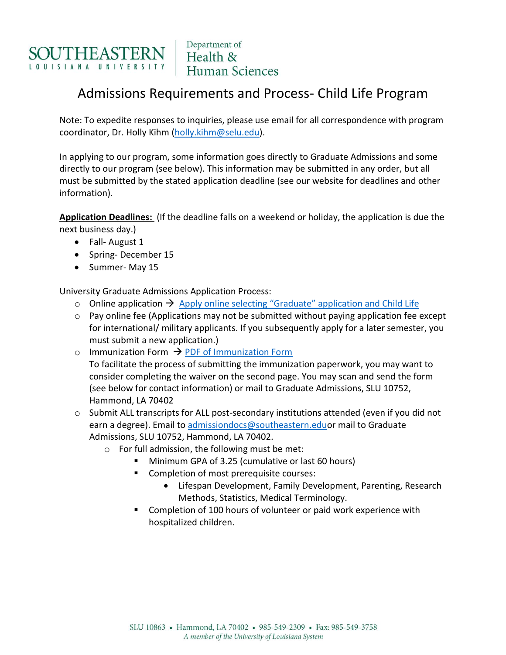

# Admissions Requirements and Process- Child Life Program

Note: To expedite responses to inquiries, please use email for all correspondence with program coordinator, Dr. Holly Kihm [\(holly.kihm@selu.edu\)](mailto:holly.kihm@selu.edu).

In applying to our program, some information goes directly to Graduate Admissions and some directly to our program (see below). This information may be submitted in any order, but all must be submitted by the stated application deadline (see our website for deadlines and other information).

**Application Deadlines:** (If the deadline falls on a weekend or holiday, the application is due the next business day.)

- Fall- August 1
- Spring-December 15
- Summer- May 15

University Graduate Admissions Application Process:

- o Online application  $\rightarrow$  [Apply online selecting "Graduate" application and Child Life](https://www.southeastern.edu/apply/graduate/index.html)
- o Pay online fee (Applications may not be submitted without paying application fee except for international/ military applicants. If you subsequently apply for a later semester, you must submit a new application.)
- o Immunization Form  $\rightarrow$  [PDF of Immunization Form](http://www.southeastern.edu/admin/health_ctr/forms/assets/compliance_form2019.pdf) To facilitate the process of submitting the immunization paperwork, you may want to consider completing the waiver on the second page. You may scan and send the form (see below for contact information) or mail to Graduate Admissions, SLU 10752, Hammond, LA 70402
- $\circ$  Submit ALL transcripts for ALL post-secondary institutions attended (even if you did not earn a degree). Email to [admissiondocs@southeastern.eduo](mailto:admissiondocs@southeastern.edu)r mail to Graduate Admissions, SLU 10752, Hammond, LA 70402.
	- o For full admission, the following must be met:
		- Minimum GPA of 3.25 (cumulative or last 60 hours)
		- Completion of most prerequisite courses:
			- Lifespan Development, Family Development, Parenting, Research Methods, Statistics, Medical Terminology.
		- **EXTER** Completion of 100 hours of volunteer or paid work experience with hospitalized children.